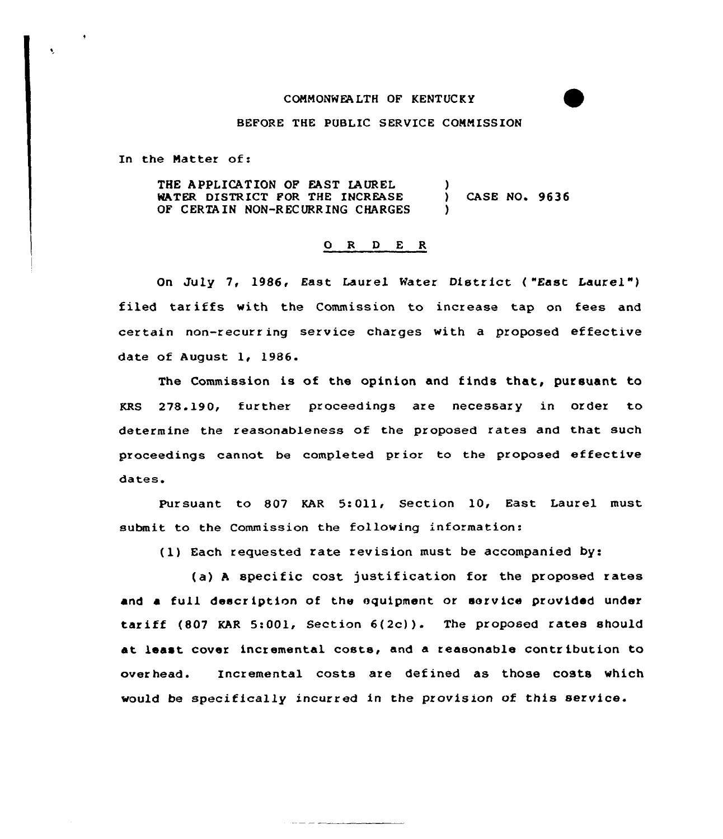## COMMONWEALTH OF KENTUCKY

## BEFORE THE PUBLIC SERVICE CONNISSION

In the Natter of:

 $\ddot{\phantom{0}}$ 

THE APPLICATION OF EAST LAUREL WATER DISTRICT FOR THE INCREASE OF CERTAIN NON-RECURRING CHARGES )<br>} CASE NO. 9636 )

## 0 <sup>R</sup> <sup>D</sup> E R

On July 7, 1986, East Laurel Water District ("East Laurel") filed tariffs with the Commission to increase tap on fees and certain non-recurring service charges with a proposed effective date of August 1, 1986.

The Commission is of the opinion and finds that, pursuant to KRS 278.190, further proceedings are necessary in order to determine the reasonableness af the proposed rates and that such proceedings cannot be completed prior to the proposed effective dates.

Pursuant to 807 KAR 5:Oll, Section 10, East Laurel must submit to the Commission the following information:

(1) Each requested rate revision must be accompanied by:

(a) <sup>A</sup> specific cost justification for the proposed rates and a full description of the equipment or service provided under tariff  $(807 \text{ KAR } 5:001$ , Section  $6(2c)$ ). The proposed rates should at least cover incremental costs, and a reasonable contribution to overhead. Incremental casts are defined as those costs which would be specifically incurred in the provision of this service.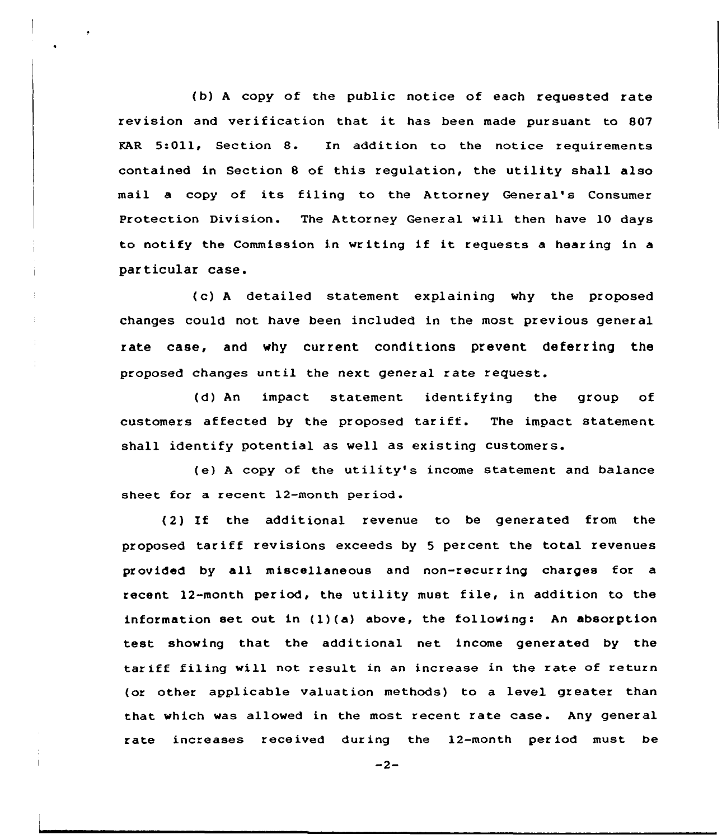(b) <sup>A</sup> copy of the public notice of each requested rate revision and verification that it has been made pursuant to <sup>807</sup> FAR 5:011, Section 8. In addition to the notice requirements contained in Section <sup>8</sup> of this regulation, the utility shall also mail a copy of its filing to the Attorney General's Consumer Protection Division. The Attorney General will then have 10 days to notify the Commission in writing if it requests <sup>a</sup> hearing in <sup>a</sup> particular case.

( c) <sup>A</sup> detailed statement explaining why the proposed changes could not have been included in the most previous general rate case, and why current conditions prevent deferring the proposed changes until the next general rate request.

(d) An impact statement identifying the group of customers affected by the proposed tariff. The impact statement shall identify potential as well as existing customers.

(e) <sup>A</sup> copy of the utility's income statement and balance sheet for a recent 12-month period.

(2) If the additional revenue to be generated from the proposed tariff revisions exceeds by <sup>5</sup> percent the total revenues provided by all miscellaneous and non-recurring charges for a recent 12-month period, the utility must file, in addition to the information set out in  $(1)(a)$  above, the following: An absorption test showing that the additional net income generated by the tariff filing will not result in an increase in the rate of return (or other applicable valuation methods) to a level greater than that which was allowed in the most recent rate case. Any general rate increases received during the 12-month period must be

 $-2-$